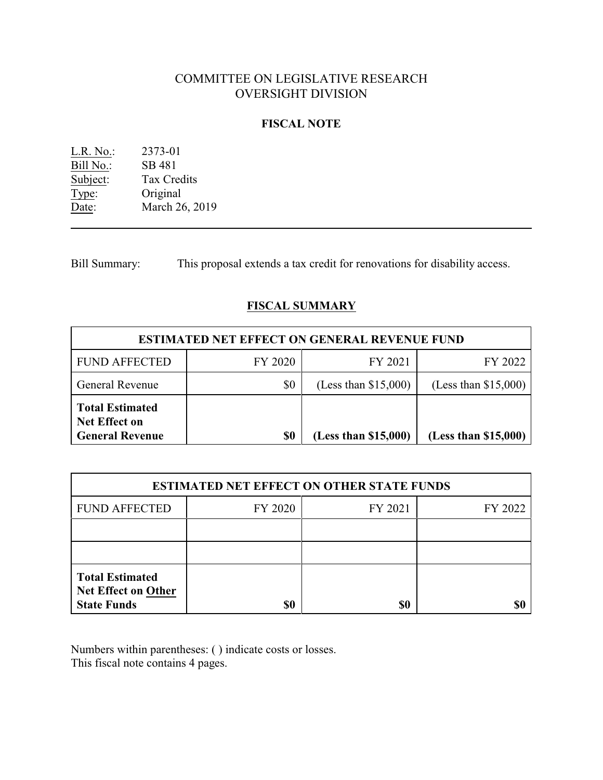# COMMITTEE ON LEGISLATIVE RESEARCH OVERSIGHT DIVISION

### **FISCAL NOTE**

L.R. No.: 2373-01 Bill No.: SB 481<br>Subject: Tax Cre Tax Credits Type: Original Date: March 26, 2019

Bill Summary: This proposal extends a tax credit for renovations for disability access.

## **FISCAL SUMMARY**

| <b>ESTIMATED NET EFFECT ON GENERAL REVENUE FUND</b>                      |         |                        |                        |  |  |
|--------------------------------------------------------------------------|---------|------------------------|------------------------|--|--|
| <b>FUND AFFECTED</b>                                                     | FY 2020 | FY 2021                | FY 2022                |  |  |
| <b>General Revenue</b>                                                   | \$0     | (Less than $$15,000$ ) | (Less than $$15,000$ ) |  |  |
| <b>Total Estimated</b><br><b>Net Effect on</b><br><b>General Revenue</b> | \$0     | (Less than \$15,000)   | (Less than \$15,000)   |  |  |

| <b>ESTIMATED NET EFFECT ON OTHER STATE FUNDS</b>                           |         |         |         |  |  |
|----------------------------------------------------------------------------|---------|---------|---------|--|--|
| <b>FUND AFFECTED</b>                                                       | FY 2020 | FY 2021 | FY 2022 |  |  |
|                                                                            |         |         |         |  |  |
|                                                                            |         |         |         |  |  |
| <b>Total Estimated</b><br><b>Net Effect on Other</b><br><b>State Funds</b> | \$0     | \$0     |         |  |  |

Numbers within parentheses: ( ) indicate costs or losses. This fiscal note contains 4 pages.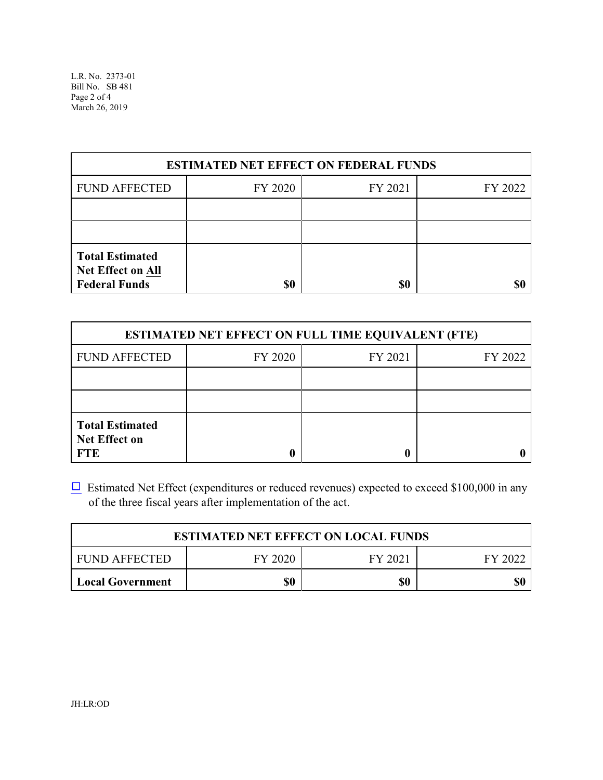| <b>ESTIMATED NET EFFECT ON FEDERAL FUNDS</b>                        |         |         |         |  |  |
|---------------------------------------------------------------------|---------|---------|---------|--|--|
| <b>FUND AFFECTED</b>                                                | FY 2020 | FY 2021 | FY 2022 |  |  |
|                                                                     |         |         |         |  |  |
|                                                                     |         |         |         |  |  |
| <b>Total Estimated</b><br>Net Effect on All<br><b>Federal Funds</b> | \$0     | \$0     |         |  |  |

| <b>ESTIMATED NET EFFECT ON FULL TIME EQUIVALENT (FTE)</b>    |         |         |         |  |  |
|--------------------------------------------------------------|---------|---------|---------|--|--|
| <b>FUND AFFECTED</b>                                         | FY 2020 | FY 2021 | FY 2022 |  |  |
|                                                              |         |         |         |  |  |
|                                                              |         |         |         |  |  |
| <b>Total Estimated</b><br><b>Net Effect on</b><br><b>FTE</b> |         |         |         |  |  |

 $\Box$  Estimated Net Effect (expenditures or reduced revenues) expected to exceed \$100,000 in any of the three fiscal years after implementation of the act.

| <b>ESTIMATED NET EFFECT ON LOCAL FUNDS</b> |                               |     |     |  |  |  |  |
|--------------------------------------------|-------------------------------|-----|-----|--|--|--|--|
| <b>FUND AFFECTED</b>                       | FY 2020<br>FY 2021<br>FY 2022 |     |     |  |  |  |  |
| <b>Local Government</b>                    | \$0                           | \$0 | \$0 |  |  |  |  |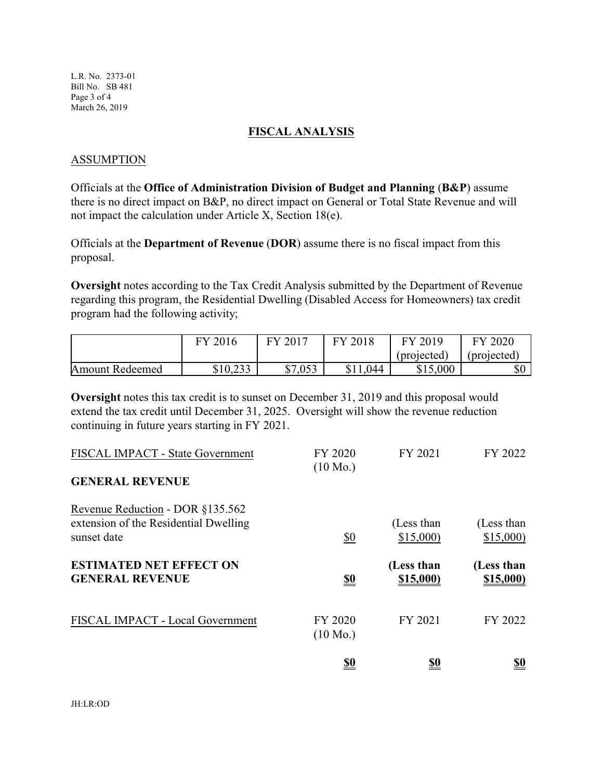L.R. No. 2373-01 Bill No. SB 481 Page 3 of 4 March 26, 2019

#### **FISCAL ANALYSIS**

#### ASSUMPTION

Officials at the **Office of Administration Division of Budget and Planning** (**B&P**) assume there is no direct impact on B&P, no direct impact on General or Total State Revenue and will not impact the calculation under Article X, Section 18(e).

Officials at the **Department of Revenue** (**DOR**) assume there is no fiscal impact from this proposal.

**Oversight** notes according to the Tax Credit Analysis submitted by the Department of Revenue regarding this program, the Residential Dwelling (Disabled Access for Homeowners) tax credit program had the following activity;

|                 | 2016<br>FV | $\angle 2017$<br>FV | FY 2018 | FY 2019     | 2020<br>FV  |
|-----------------|------------|---------------------|---------|-------------|-------------|
|                 |            |                     |         | (projected) | (projected) |
| Amount Redeemed | \$10,233   | \$7,053             | 044     | \$15,000    | \$0         |

**Oversight** notes this tax credit is to sunset on December 31, 2019 and this proposal would extend the tax credit until December 31, 2025. Oversight will show the revenue reduction continuing in future years starting in FY 2021.

|                                                                                          | <u>\$0</u>                    | <u>\$0</u>                     | <u>\$0</u>              |
|------------------------------------------------------------------------------------------|-------------------------------|--------------------------------|-------------------------|
| FISCAL IMPACT - Local Government                                                         | FY 2020<br>$(10 \text{ Mo.})$ | FY 2021                        | FY 2022                 |
| <b>ESTIMATED NET EFFECT ON</b><br><b>GENERAL REVENUE</b>                                 | <u>\$0</u>                    | (Less than<br><u>\$15,000)</u> | (Less than<br>\$15,000) |
| Revenue Reduction - DOR §135.562<br>extension of the Residential Dwelling<br>sunset date | \$0                           | (Less than<br>\$15,000         | (Less than<br>\$15,000  |
| FISCAL IMPACT - State Government<br><b>GENERAL REVENUE</b>                               | FY 2020<br>$(10 \text{ Mo.})$ | FY 2021                        | FY 2022                 |